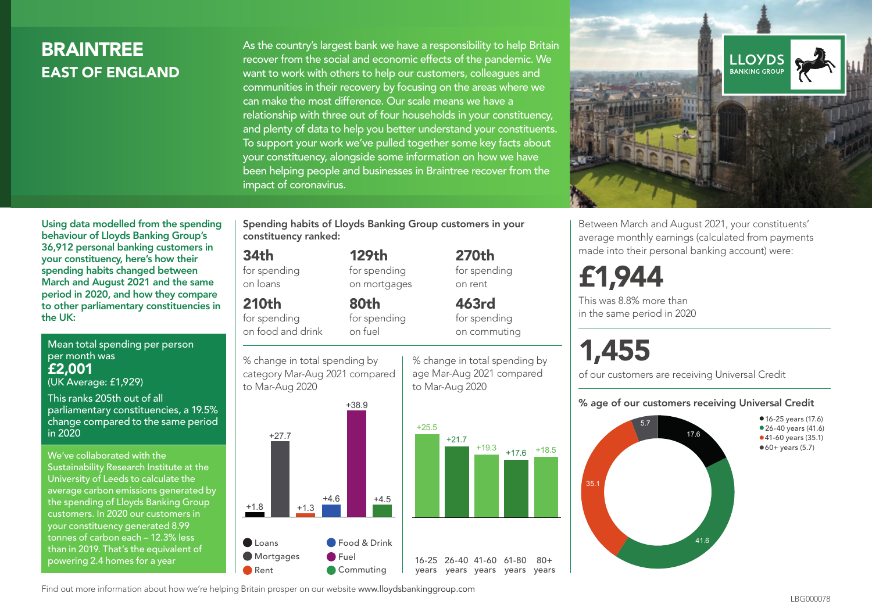## **BRAINTREE** EAST OF ENGLAND

As the country's largest bank we have a responsibility to help Britain recover from the social and economic effects of the pandemic. We want to work with others to help our customers, colleagues and communities in their recovery by focusing on the areas where we can make the most difference. Our scale means we have a relationship with three out of four households in your constituency, and plenty of data to help you better understand your constituents. To support your work we've pulled together some key facts about your constituency, alongside some information on how we have been helping people and businesses in Braintree recover from the impact of coronavirus.



Between March and August 2021, your constituents' average monthly earnings (calculated from payments made into their personal banking account) were:

## £1,944

This was 8.8% more than in the same period in 2020

# 1,455

of our customers are receiving Universal Credit

#### % age of our customers receiving Universal Credit



Using data modelled from the spending behaviour of Lloyds Banking Group's 36,912 personal banking customers in your constituency, here's how their spending habits changed between March and August 2021 and the same period in 2020, and how they compare to other parliamentary constituencies in the UK:

Mean total spending per person per month was £2,001

(UK Average: £1,929)

This ranks 205th out of all parliamentary constituencies, a 19.5% change compared to the same period in 2020

We've collaborated with the Sustainability Research Institute at the University of Leeds to calculate the average carbon emissions generated by the spending of Lloyds Banking Group customers. In 2020 our customers in your constituency generated 8.99 tonnes of carbon each – 12.3% less than in 2019. That's the equivalent of powering 2.4 homes for a year

Spending habits of Lloyds Banking Group customers in your constituency ranked:

> 129th for spending on mortgages

80th for spending on fuel

> % change in total spending by age Mar-Aug 2021 compared

270th for spending on rent

463rd for spending on commuting

 $80 +$ 

to Mar-Aug 2020

#### 34th

for spending on loans

210th

for spending on food and drink

% change in total spending by category Mar-Aug 2021 compared





Find out more information about how we're helping Britain prosper on our website www.lloydsbankinggroup.com